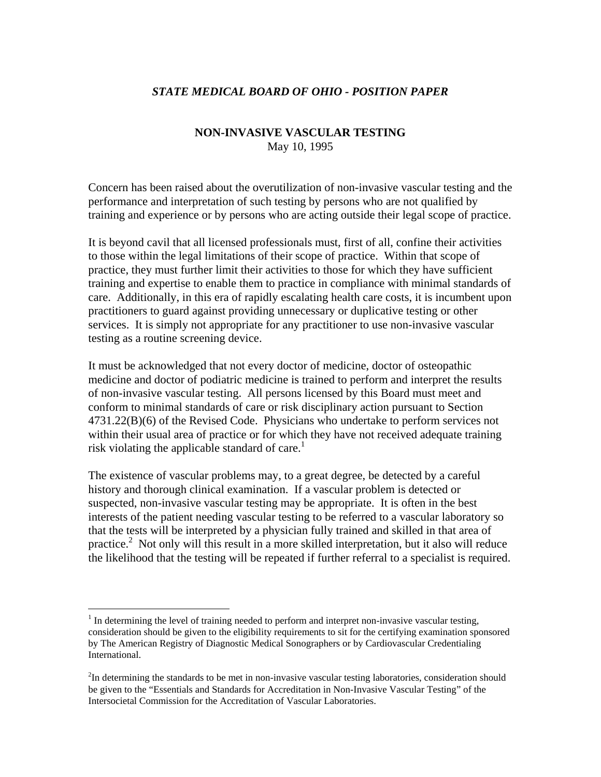## *STATE MEDICAL BOARD OF OHIO - POSITION PAPER*

## **NON-INVASIVE VASCULAR TESTING**  May 10, 1995

Concern has been raised about the overutilization of non-invasive vascular testing and the performance and interpretation of such testing by persons who are not qualified by training and experience or by persons who are acting outside their legal scope of practice.

It is beyond cavil that all licensed professionals must, first of all, confine their activities to those within the legal limitations of their scope of practice. Within that scope of practice, they must further limit their activities to those for which they have sufficient training and expertise to enable them to practice in compliance with minimal standards of care. Additionally, in this era of rapidly escalating health care costs, it is incumbent upon practitioners to guard against providing unnecessary or duplicative testing or other services. It is simply not appropriate for any practitioner to use non-invasive vascular testing as a routine screening device.

It must be acknowledged that not every doctor of medicine, doctor of osteopathic medicine and doctor of podiatric medicine is trained to perform and interpret the results of non-invasive vascular testing. All persons licensed by this Board must meet and conform to minimal standards of care or risk disciplinary action pursuant to Section 4731.22(B)(6) of the Revised Code. Physicians who undertake to perform services not within their usual area of practice or for which they have not received adequate training risk violating the applicable standard of care.<sup>1</sup>

The existence of vascular problems may, to a great degree, be detected by a careful history and thorough clinical examination. If a vascular problem is detected or suspected, non-invasive vascular testing may be appropriate. It is often in the best interests of the patient needing vascular testing to be referred to a vascular laboratory so that the tests will be interpreted by a physician fully trained and skilled in that area of practice.<sup>2</sup> Not only will this result in a more skilled interpretation, but it also will reduce the likelihood that the testing will be repeated if further referral to a specialist is required.

 $\overline{a}$ 

 $<sup>1</sup>$  In determining the level of training needed to perform and interpret non-invasive vascular testing,</sup> consideration should be given to the eligibility requirements to sit for the certifying examination sponsored by The American Registry of Diagnostic Medical Sonographers or by Cardiovascular Credentialing International.

 $2$ In determining the standards to be met in non-invasive vascular testing laboratories, consideration should be given to the "Essentials and Standards for Accreditation in Non-Invasive Vascular Testing" of the Intersocietal Commission for the Accreditation of Vascular Laboratories.